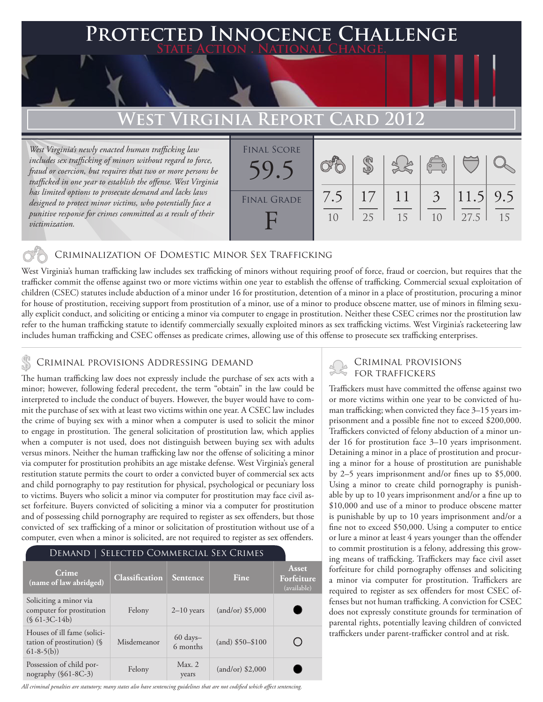### **FED INNOCENCE CHALLENGE State Action . National Change.**

### **West Virginia Report Card 2012**

*West Virginia's newly enacted human trafficking law includes sex trafficking of minors without regard to force, fraud or coercion, but requires that two or more persons be trafficked in one year to establish the offense. West Virginia has limited options to prosecute demand and lacks laws designed to protect minor victims, who potentially face a punitive response for crimes committed as a result of their victimization.*



### Criminalization of Domestic Minor Sex Trafficking

West Virginia's human trafficking law includes sex trafficking of minors without requiring proof of force, fraud or coercion, but requires that the trafficker commit the offense against two or more victims within one year to establish the offense of trafficking. Commercial sexual exploitation of children (CSEC) statutes include abduction of a minor under 16 for prostitution, detention of a minor in a place of prostitution, procuring a minor for house of prostitution, receiving support from prostitution of a minor, use of a minor to produce obscene matter, use of minors in filming sexually explicit conduct, and soliciting or enticing a minor via computer to engage in prostitution. Neither these CSEC crimes nor the prostitution law refer to the human trafficking statute to identify commercially sexually exploited minors as sex trafficking victims. West Virginia's racketeering law includes human trafficking and CSEC offenses as predicate crimes, allowing use of this offense to prosecute sex trafficking enterprises.

# **S** CRIMINAL PROVISIONS ADDRESSING DEMAND<br>
FOR TRAFFICKERS

The human trafficking law does not expressly include the purchase of sex acts with a minor; however, following federal precedent, the term "obtain" in the law could be interpreted to include the conduct of buyers. However, the buyer would have to commit the purchase of sex with at least two victims within one year. A CSEC law includes the crime of buying sex with a minor when a computer is used to solicit the minor to engage in prostitution. The general solicitation of prostitution law, which applies when a computer is not used, does not distinguish between buying sex with adults versus minors. Neither the human trafficking law nor the offense of soliciting a minor via computer for prostitution prohibits an age mistake defense. West Virginia's general restitution statute permits the court to order a convicted buyer of commercial sex acts and child pornography to pay restitution for physical, psychological or pecuniary loss to victims. Buyers who solicit a minor via computer for prostitution may face civil asset forfeiture. Buyers convicted of soliciting a minor via a computer for prostitution and of possessing child pornography are required to register as sex offenders, but those convicted of sex trafficking of a minor or solicitation of prostitution without use of a computer, even when a minor is solicited, are not required to register as sex offenders.

| DEMAND   SELECTED COMMERCIAL SEX CRIMES                                     |                       |                                 |                    |                                           |
|-----------------------------------------------------------------------------|-----------------------|---------------------------------|--------------------|-------------------------------------------|
| Crime<br>(name of law abridged)                                             | <b>Classification</b> | Sentence                        | Fine               | <b>Asset</b><br>Forfeiture<br>(available) |
| Soliciting a minor via<br>computer for prostitution<br>$(S 61-3C-14b)$      | Felony                | $2-10$ years                    | $(and/or)$ \$5,000 |                                           |
| Houses of ill fame (solici-<br>tation of prostitution) $(\S$<br>$61-8-5(b)$ | Misdemeanor           | $60 \text{ days} -$<br>6 months | $(and)$ \$50-\$100 |                                           |
| Possession of child por-<br>nography (§61-8C-3)                             | Felony                | Max. 2<br>years                 | $(and/or)$ \$2,000 |                                           |

Criminal provisions

Traffickers must have committed the offense against two or more victims within one year to be convicted of human trafficking; when convicted they face 3–15 years imprisonment and a possible fine not to exceed \$200,000. Traffickers convicted of felony abduction of a minor under 16 for prostitution face 3–10 years imprisonment. Detaining a minor in a place of prostitution and procuring a minor for a house of prostitution are punishable by 2–5 years imprisonment and/or fines up to \$5,000. Using a minor to create child pornography is punishable by up to 10 years imprisonment and/or a fine up to \$10,000 and use of a minor to produce obscene matter is punishable by up to 10 years imprisonment and/or a fine not to exceed \$50,000. Using a computer to entice or lure a minor at least 4 years younger than the offender to commit prostitution is a felony, addressing this growing means of trafficking. Traffickers may face civil asset forfeiture for child pornography offenses and soliciting a minor via computer for prostitution. Traffickers are required to register as sex offenders for most CSEC offenses but not human trafficking. A conviction for CSEC does not expressly constitute grounds for termination of parental rights, potentially leaving children of convicted traffickers under parent-trafficker control and at risk.

*All criminal penalties are statutory; many states also have sentencing guidelines that are not codified which affect sentencing.*